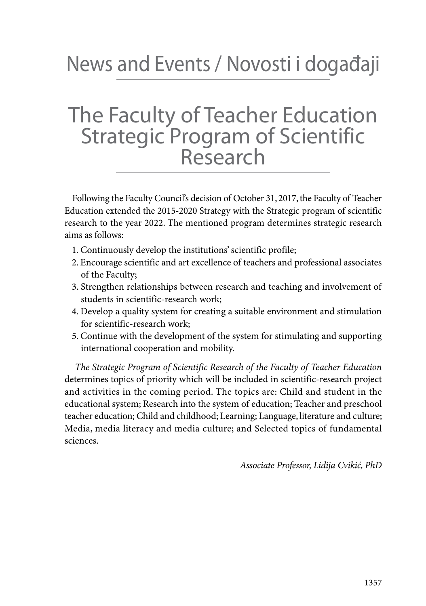## News and Events / Novosti i događaji

## The Faculty of Teacher Education Strategic Program of Scientific Research

Following the Faculty Council's decision of October 31, 2017, the Faculty of Teacher Education extended the 2015-2020 Strategy with the Strategic program of scientific research to the year 2022. The mentioned program determines strategic research aims as follows:

- 1. Continuously develop the institutions' scientific profile;
- 2. Encourage scientific and art excellence of teachers and professional associates of the Faculty;
- 3. Strengthen relationships between research and teaching and involvement of students in scientific-research work;
- 4. Develop a quality system for creating a suitable environment and stimulation for scientific-research work;
- 5. Continue with the development of the system for stimulating and supporting international cooperation and mobility.

*The Strategic Program of Scientific Research of the Faculty of Teacher Education*  determines topics of priority which will be included in scientific-research project and activities in the coming period. The topics are: Child and student in the educational system; Research into the system of education; Teacher and preschool teacher education; Child and childhood; Learning; Language, literature and culture; Media, media literacy and media culture; and Selected topics of fundamental sciences.

*Associate Professor, Lidija Cvikić, PhD*